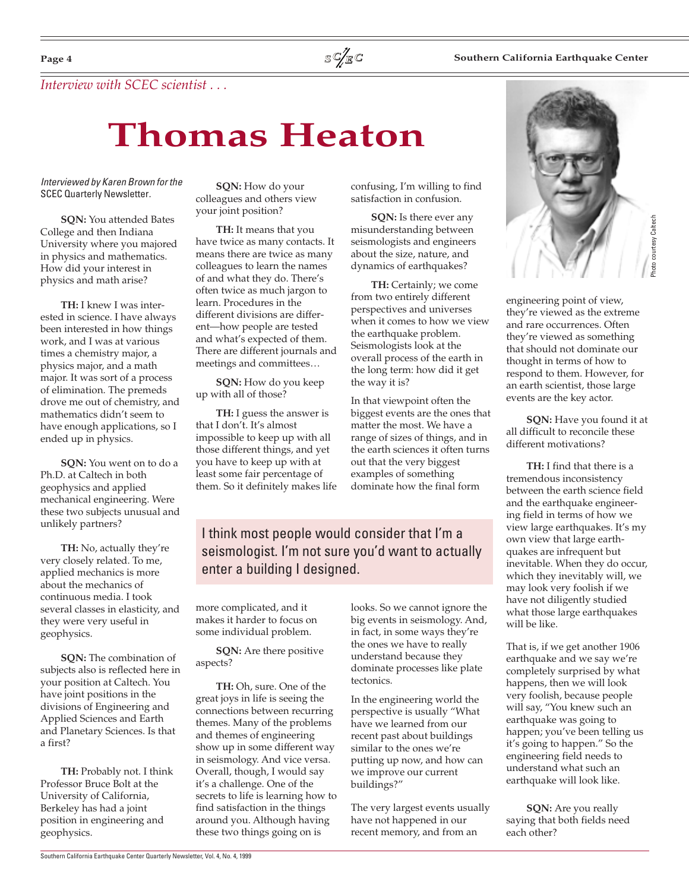### **Southern California Earthquake Center**

*Interview with SCEC scientist . . .*

# **Thomas Heaton**

Interviewed by Karen Brown for the SCEC Quarterly Newsletter.

**SQN:** You attended Bates College and then Indiana University where you majored in physics and mathematics. How did your interest in physics and math arise?

**TH:** I knew I was interested in science. I have always been interested in how things work, and I was at various times a chemistry major, a physics major, and a math major. It was sort of a process of elimination. The premeds drove me out of chemistry, and mathematics didn't seem to have enough applications, so I ended up in physics.

**SQN:** You went on to do a Ph.D. at Caltech in both geophysics and applied mechanical engineering. Were these two subjects unusual and unlikely partners?

**TH:** No, actually they're very closely related. To me, applied mechanics is more about the mechanics of continuous media. I took several classes in elasticity, and they were very useful in geophysics.

**SQN:** The combination of subjects also is reflected here in your position at Caltech. You have joint positions in the divisions of Engineering and Applied Sciences and Earth and Planetary Sciences. Is that a first?

**TH:** Probably not. I think Professor Bruce Bolt at the University of California, Berkeley has had a joint position in engineering and geophysics.

**SQN:** How do your colleagues and others view your joint position?

**TH:** It means that you have twice as many contacts. It means there are twice as many colleagues to learn the names of and what they do. There's often twice as much jargon to learn. Procedures in the different divisions are different—how people are tested and what's expected of them. There are different journals and meetings and committees…

**SQN:** How do you keep up with all of those?

**TH:** I guess the answer is that I don't. It's almost impossible to keep up with all those different things, and yet you have to keep up with at least some fair percentage of them. So it definitely makes life

confusing, I'm willing to find satisfaction in confusion.

**SQN:** Is there ever any misunderstanding between seismologists and engineers about the size, nature, and dynamics of earthquakes?

**TH:** Certainly; we come from two entirely different perspectives and universes when it comes to how we view the earthquake problem. Seismologists look at the overall process of the earth in the long term: how did it get the way it is?

In that viewpoint often the biggest events are the ones that matter the most. We have a range of sizes of things, and in the earth sciences it often turns out that the very biggest examples of something dominate how the final form

I think most people would consider that I'm a seismologist. I'm not sure you'd want to actually enter a building I designed.

more complicated, and it makes it harder to focus on some individual problem.

**SQN:** Are there positive aspects?

**TH:** Oh, sure. One of the great joys in life is seeing the connections between recurring themes. Many of the problems and themes of engineering show up in some different way in seismology. And vice versa. Overall, though, I would say it's a challenge. One of the secrets to life is learning how to find satisfaction in the things around you. Although having these two things going on is

looks. So we cannot ignore the big events in seismology. And, in fact, in some ways they're the ones we have to really understand because they dominate processes like plate tectonics.

In the engineering world the perspective is usually "What have we learned from our recent past about buildings similar to the ones we're putting up now, and how can we improve our current buildings?"

The very largest events usually have not happened in our recent memory, and from an



engineering point of view, they're viewed as the extreme and rare occurrences. Often they're viewed as something that should not dominate our thought in terms of how to respond to them. However, for an earth scientist, those large events are the key actor.

**SQN:** Have you found it at all difficult to reconcile these different motivations?

**TH:** I find that there is a tremendous inconsistency between the earth science field and the earthquake engineering field in terms of how we view large earthquakes. It's my own view that large earthquakes are infrequent but inevitable. When they do occur, which they inevitably will, we may look very foolish if we have not diligently studied what those large earthquakes will be like.

That is, if we get another 1906 earthquake and we say we're completely surprised by what happens, then we will look very foolish, because people will say, "You knew such an earthquake was going to happen; you've been telling us it's going to happen." So the engineering field needs to understand what such an earthquake will look like.

**SQN:** Are you really saying that both fields need each other?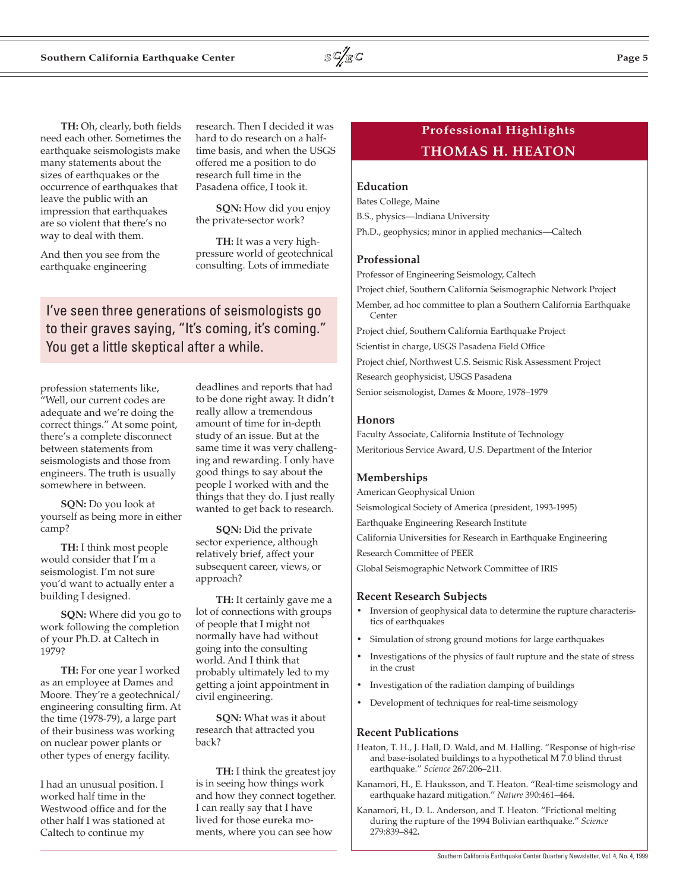**TH:** Oh, clearly, both fields need each other. Sometimes the earthquake seismologists make many statements about the sizes of earthquakes or the occurrence of earthquakes that leave the public with an impression that earthquakes are so violent that there's no way to deal with them.

And then you see from the earthquake engineering

research. Then I decided it was hard to do research on a halftime basis, and when the USGS offered me a position to do research full time in the Pasadena office, I took it.

**SQN:** How did you enjoy the private-sector work?

**TH:** It was a very highpressure world of geotechnical consulting. Lots of immediate

I've seen three generations of seismologists go to their graves saying, "It's coming, it's coming." You get a little skeptical after a while.

profession statements like, "Well, our current codes are adequate and we're doing the correct things." At some point, there's a complete disconnect between statements from seismologists and those from engineers. The truth is usually somewhere in between.

**SQN:** Do you look at yourself as being more in either camp?

**TH:** I think most people would consider that I'm a seismologist. I'm not sure you'd want to actually enter a building I designed.

**SQN:** Where did you go to work following the completion of your Ph.D. at Caltech in 1979?

**TH:** For one year I worked as an employee at Dames and Moore. They're a geotechnical/ engineering consulting firm. At the time (1978-79), a large part of their business was working on nuclear power plants or other types of energy facility.

I had an unusual position. I worked half time in the Westwood office and for the other half I was stationed at Caltech to continue my

deadlines and reports that had to be done right away. It didn't really allow a tremendous amount of time for in-depth study of an issue. But at the same time it was very challenging and rewarding. I only have good things to say about the people I worked with and the things that they do. I just really wanted to get back to research.

**SQN:** Did the private sector experience, although relatively brief, affect your subsequent career, views, or approach?

**TH:** It certainly gave me a lot of connections with groups of people that I might not normally have had without going into the consulting world. And I think that probably ultimately led to my getting a joint appointment in civil engineering.

**SQN:** What was it about research that attracted you back?

**TH:** I think the greatest joy is in seeing how things work and how they connect together. I can really say that I have lived for those eureka moments, where you can see how

## **Professional Highlights THOMAS H. HEATON**

## **Education**

Bates College, Maine B.S., physics—Indiana University Ph.D., geophysics; minor in applied mechanics—Caltech

#### **Professional**

Professor of Engineering Seismology, Caltech Project chief, Southern California Seismographic Network Project Member, ad hoc committee to plan a Southern California Earthquake Center Project chief, Southern California Earthquake Project Scientist in charge, USGS Pasadena Field Office Project chief, Northwest U.S. Seismic Risk Assessment Project Research geophysicist, USGS Pasadena Senior seismologist, Dames & Moore, 1978–1979

#### **Honors**

Faculty Associate, California Institute of Technology Meritorious Service Award, U.S. Department of the Interior

#### **Memberships**

American Geophysical Union Seismological Society of America (president, 1993-1995) Earthquake Engineering Research Institute California Universities for Research in Earthquake Engineering Research Committee of PEER Global Seismographic Network Committee of IRIS

#### **Recent Research Subjects**

- Inversion of geophysical data to determine the rupture characteristics of earthquakes
- Simulation of strong ground motions for large earthquakes
- Investigations of the physics of fault rupture and the state of stress in the crust
- Investigation of the radiation damping of buildings
- Development of techniques for real-time seismology

#### **Recent Publications**

- Heaton, T. H., J. Hall, D. Wald, and M. Halling. "Response of high-rise and base-isolated buildings to a hypothetical M 7.0 blind thrust earthquake." *Science* 267:206–211.
- Kanamori, H., E. Hauksson, and T. Heaton. "Real-time seismology and earthquake hazard mitigation." *Nature* 390:461–464.
- Kanamori, H., D. L. Anderson, and T. Heaton. "Frictional melting during the rupture of the 1994 Bolivian earthquake." *Science* 279:839–842**.**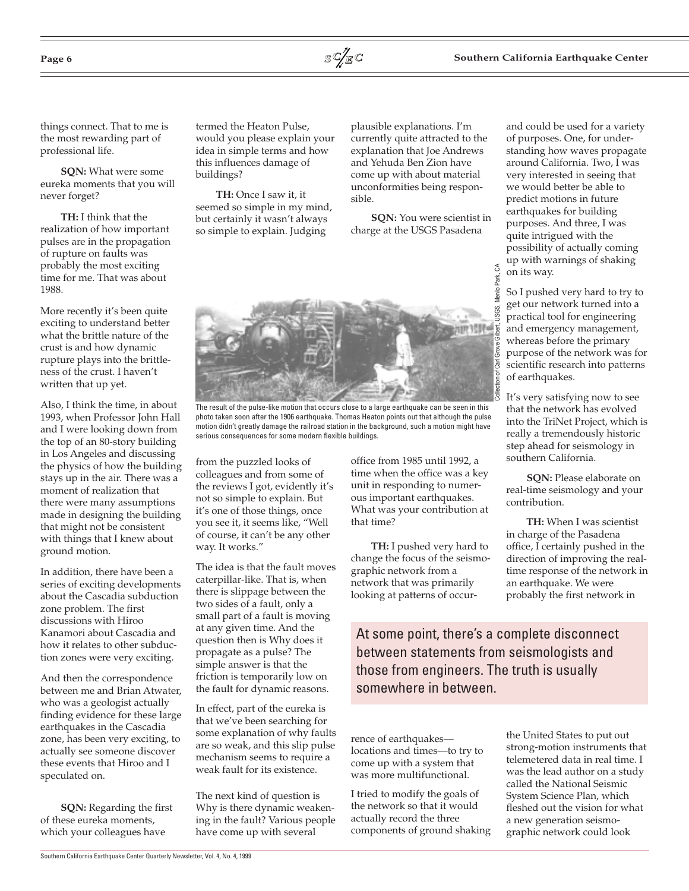



things connect. That to me is the most rewarding part of professional life.

**SQN:** What were some eureka moments that you will never forget?

**TH:** I think that the realization of how important pulses are in the propagation of rupture on faults was probably the most exciting time for me. That was about 1988.

More recently it's been quite exciting to understand better what the brittle nature of the crust is and how dynamic rupture plays into the brittleness of the crust. I haven't written that up yet.

Also, I think the time, in about 1993, when Professor John Hall and I were looking down from the top of an 80-story building in Los Angeles and discussing the physics of how the building stays up in the air. There was a moment of realization that there were many assumptions made in designing the building that might not be consistent with things that I knew about ground motion.

In addition, there have been a series of exciting developments about the Cascadia subduction zone problem. The first discussions with Hiroo Kanamori about Cascadia and how it relates to other subduction zones were very exciting.

And then the correspondence between me and Brian Atwater, who was a geologist actually finding evidence for these large earthquakes in the Cascadia zone, has been very exciting, to actually see someone discover these events that Hiroo and I speculated on.

**SQN:** Regarding the first of these eureka moments, which your colleagues have

termed the Heaton Pulse, would you please explain your idea in simple terms and how this influences damage of buildings?

**TH:** Once I saw it, it seemed so simple in my mind, but certainly it wasn't always so simple to explain. Judging

plausible explanations. I'm currently quite attracted to the explanation that Joe Andrews and Yehuda Ben Zion have come up with about material unconformities being responsible.

**SQN:** You were scientist in charge at the USGS Pasadena



The result of the pulse-like motion that occurs close to a large earthquake can be seen in this photo taken soon after the 1906 earthquake. Thomas Heaton points out that although the pulse motion didn't greatly damage the railroad station in the background, such a motion might have serious consequences for some modern flexible buildings.

from the puzzled looks of colleagues and from some of the reviews I got, evidently it's not so simple to explain. But it's one of those things, once you see it, it seems like, "Well of course, it can't be any other way. It works."

The idea is that the fault moves caterpillar-like. That is, when there is slippage between the two sides of a fault, only a small part of a fault is moving at any given time. And the question then is Why does it propagate as a pulse? The simple answer is that the friction is temporarily low on the fault for dynamic reasons.

In effect, part of the eureka is that we've been searching for some explanation of why faults are so weak, and this slip pulse mechanism seems to require a weak fault for its existence.

The next kind of question is Why is there dynamic weakening in the fault? Various people have come up with several

office from 1985 until 1992, a time when the office was a key unit in responding to numerous important earthquakes. What was your contribution at that time?

**TH:** I pushed very hard to change the focus of the seismographic network from a network that was primarily looking at patterns of occur-

At some point, there's a complete disconnect between statements from seismologists and those from engineers. The truth is usually somewhere in between.

rence of earthquakes locations and times—to try to come up with a system that was more multifunctional.

I tried to modify the goals of the network so that it would actually record the three components of ground shaking

and could be used for a variety of purposes. One, for understanding how waves propagate around California. Two, I was very interested in seeing that we would better be able to predict motions in future earthquakes for building purposes. And three, I was quite intrigued with the possibility of actually coming up with warnings of shaking on its way.

So I pushed very hard to try to get our network turned into a practical tool for engineering and emergency management, whereas before the primary purpose of the network was for scientific research into patterns of earthquakes.

It's very satisfying now to see that the network has evolved into the TriNet Project, which is really a tremendously historic step ahead for seismology in southern California.

**SQN:** Please elaborate on real-time seismology and your contribution.

**TH:** When I was scientist in charge of the Pasadena office, I certainly pushed in the direction of improving the realtime response of the network in an earthquake. We were probably the first network in

the United States to put out strong-motion instruments that telemetered data in real time. I was the lead author on a study called the National Seismic System Science Plan, which fleshed out the vision for what a new generation seismographic network could look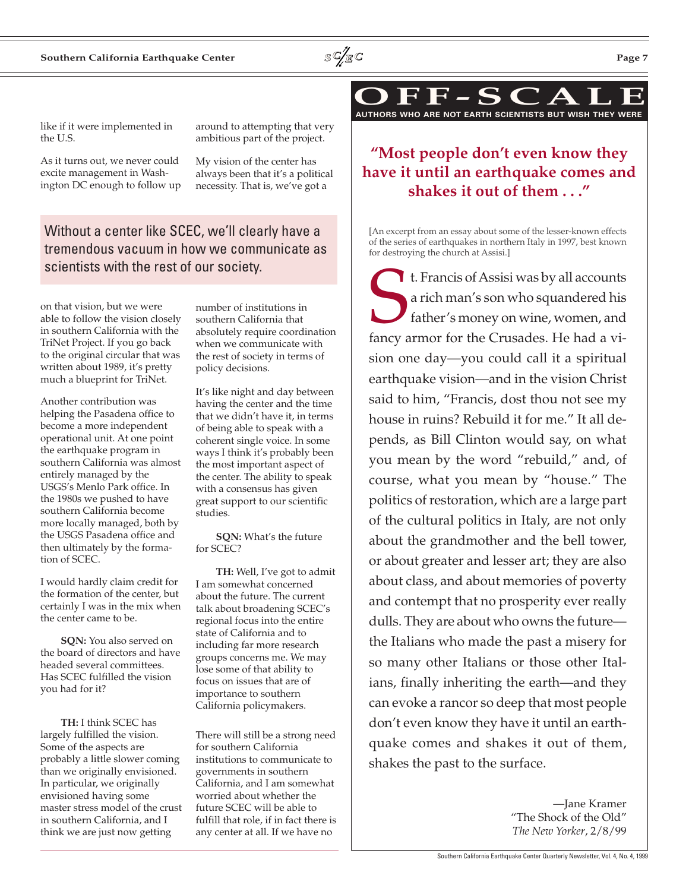

As it turns out, we never could excite management in Washington DC enough to follow up around to attempting that very ambitious part of the project.

My vision of the center has always been that it's a political necessity. That is, we've got a

## Without a center like SCEC, we'll clearly have a tremendous vacuum in how we communicate as scientists with the rest of our society.

on that vision, but we were able to follow the vision closely in southern California with the TriNet Project. If you go back to the original circular that was written about 1989, it's pretty much a blueprint for TriNet.

Another contribution was helping the Pasadena office to become a more independent operational unit. At one point the earthquake program in southern California was almost entirely managed by the USGS's Menlo Park office. In the 1980s we pushed to have southern California become more locally managed, both by the USGS Pasadena office and then ultimately by the formation of SCEC.

I would hardly claim credit for the formation of the center, but certainly I was in the mix when the center came to be.

**SQN:** You also served on the board of directors and have headed several committees. Has SCEC fulfilled the vision you had for it?

**TH:** I think SCEC has largely fulfilled the vision. Some of the aspects are probably a little slower coming than we originally envisioned. In particular, we originally envisioned having some master stress model of the crust in southern California, and I think we are just now getting

number of institutions in southern California that absolutely require coordination when we communicate with the rest of society in terms of policy decisions.

It's like night and day between having the center and the time that we didn't have it, in terms of being able to speak with a coherent single voice. In some ways I think it's probably been the most important aspect of the center. The ability to speak with a consensus has given great support to our scientific studies.

**SQN:** What's the future for SCEC?

**TH:** Well, I've got to admit I am somewhat concerned about the future. The current talk about broadening SCEC's regional focus into the entire state of California and to including far more research groups concerns me. We may lose some of that ability to focus on issues that are of importance to southern California policymakers.

There will still be a strong need for southern California institutions to communicate to governments in southern California, and I am somewhat worried about whether the future SCEC will be able to fulfill that role, if in fact there is any center at all. If we have no

**OFF-SCALE AUTHORS WHO ARE NOT EARTH SCIENTISTS BUT WISH THEY WERE**

## **"Most people don't even know they have it until an earthquake comes and shakes it out of them . . ."**

[An excerpt from an essay about some of the lesser-known effects of the series of earthquakes in northern Italy in 1997, best known for destroying the church at Assisi.]

St. Francis of Assisi was by all accounts a rich man's son who squandered his father's money on wine, women, and fancy armor for the Crusades. He had a vision one day—you could call it a spiritual earthquake vision—and in the vision Christ said to him, "Francis, dost thou not see my house in ruins? Rebuild it for me." It all depends, as Bill Clinton would say, on what you mean by the word "rebuild," and, of course, what you mean by "house." The politics of restoration, which are a large part of the cultural politics in Italy, are not only about the grandmother and the bell tower, or about greater and lesser art; they are also about class, and about memories of poverty and contempt that no prosperity ever really dulls. They are about who owns the future the Italians who made the past a misery for so many other Italians or those other Italians, finally inheriting the earth—and they can evoke a rancor so deep that most people don't even know they have it until an earthquake comes and shakes it out of them, shakes the past to the surface.

> —Jane Kramer "The Shock of the Old" *The New Yorker*, 2/8/99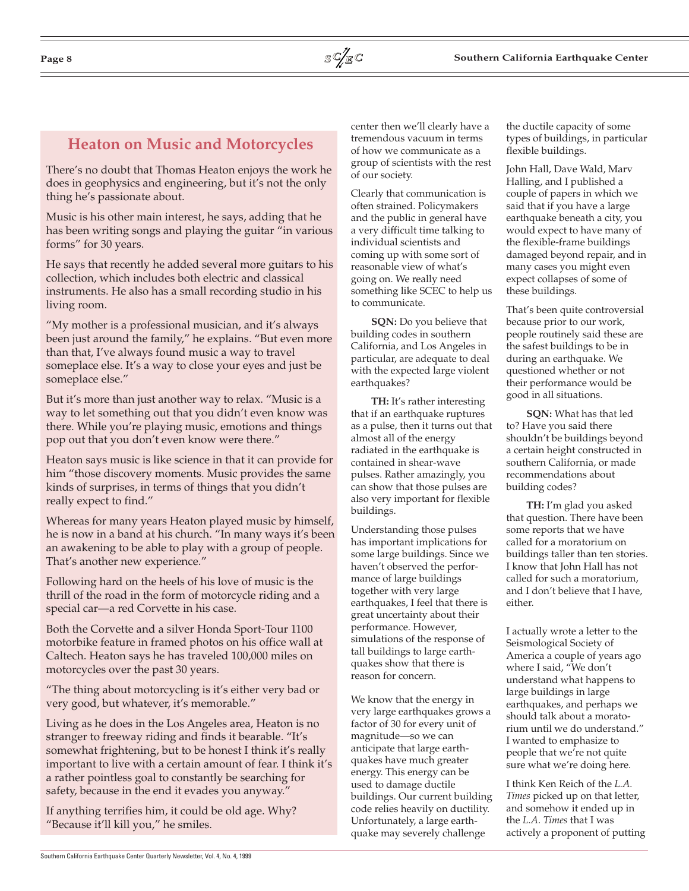# **Heaton on Music and Motorcycles**

There's no doubt that Thomas Heaton enjoys the work he does in geophysics and engineering, but it's not the only thing he's passionate about.

Music is his other main interest, he says, adding that he has been writing songs and playing the guitar "in various forms" for 30 years.

He says that recently he added several more guitars to his collection, which includes both electric and classical instruments. He also has a small recording studio in his living room.

"My mother is a professional musician, and it's always been just around the family," he explains. "But even more than that, I've always found music a way to travel someplace else. It's a way to close your eyes and just be someplace else."

But it's more than just another way to relax. "Music is a way to let something out that you didn't even know was there. While you're playing music, emotions and things pop out that you don't even know were there."

Heaton says music is like science in that it can provide for him "those discovery moments. Music provides the same kinds of surprises, in terms of things that you didn't really expect to find."

Whereas for many years Heaton played music by himself, he is now in a band at his church. "In many ways it's been an awakening to be able to play with a group of people. That's another new experience."

Following hard on the heels of his love of music is the thrill of the road in the form of motorcycle riding and a special car—a red Corvette in his case.

Both the Corvette and a silver Honda Sport-Tour 1100 motorbike feature in framed photos on his office wall at Caltech. Heaton says he has traveled 100,000 miles on motorcycles over the past 30 years.

"The thing about motorcycling is it's either very bad or very good, but whatever, it's memorable."

Living as he does in the Los Angeles area, Heaton is no stranger to freeway riding and finds it bearable. "It's somewhat frightening, but to be honest I think it's really important to live with a certain amount of fear. I think it's a rather pointless goal to constantly be searching for safety, because in the end it evades you anyway."

If anything terrifies him, it could be old age. Why? "Because it'll kill you," he smiles.

center then we'll clearly have a tremendous vacuum in terms of how we communicate as a group of scientists with the rest of our society.

Clearly that communication is often strained. Policymakers and the public in general have a very difficult time talking to individual scientists and coming up with some sort of reasonable view of what's going on. We really need something like SCEC to help us to communicate.

**SQN:** Do you believe that building codes in southern California, and Los Angeles in particular, are adequate to deal with the expected large violent earthquakes?

**TH:** It's rather interesting that if an earthquake ruptures as a pulse, then it turns out that almost all of the energy radiated in the earthquake is contained in shear-wave pulses. Rather amazingly, you can show that those pulses are also very important for flexible buildings.

Understanding those pulses has important implications for some large buildings. Since we haven't observed the performance of large buildings together with very large earthquakes, I feel that there is great uncertainty about their performance. However, simulations of the response of tall buildings to large earthquakes show that there is reason for concern.

We know that the energy in very large earthquakes grows a factor of 30 for every unit of magnitude—so we can anticipate that large earthquakes have much greater energy. This energy can be used to damage ductile buildings. Our current building code relies heavily on ductility. Unfortunately, a large earthquake may severely challenge

the ductile capacity of some types of buildings, in particular flexible buildings.

John Hall, Dave Wald, Marv Halling, and I published a couple of papers in which we said that if you have a large earthquake beneath a city, you would expect to have many of the flexible-frame buildings damaged beyond repair, and in many cases you might even expect collapses of some of these buildings.

That's been quite controversial because prior to our work, people routinely said these are the safest buildings to be in during an earthquake. We questioned whether or not their performance would be good in all situations.

**SQN:** What has that led to? Have you said there shouldn't be buildings beyond a certain height constructed in southern California, or made recommendations about building codes?

**TH:** I'm glad you asked that question. There have been some reports that we have called for a moratorium on buildings taller than ten stories. I know that John Hall has not called for such a moratorium, and I don't believe that I have, either.

I actually wrote a letter to the Seismological Society of America a couple of years ago where I said, "We don't understand what happens to large buildings in large earthquakes, and perhaps we should talk about a moratorium until we do understand." I wanted to emphasize to people that we're not quite sure what we're doing here.

I think Ken Reich of the *L.A. Times* picked up on that letter, and somehow it ended up in the *L.A. Times* that I was actively a proponent of putting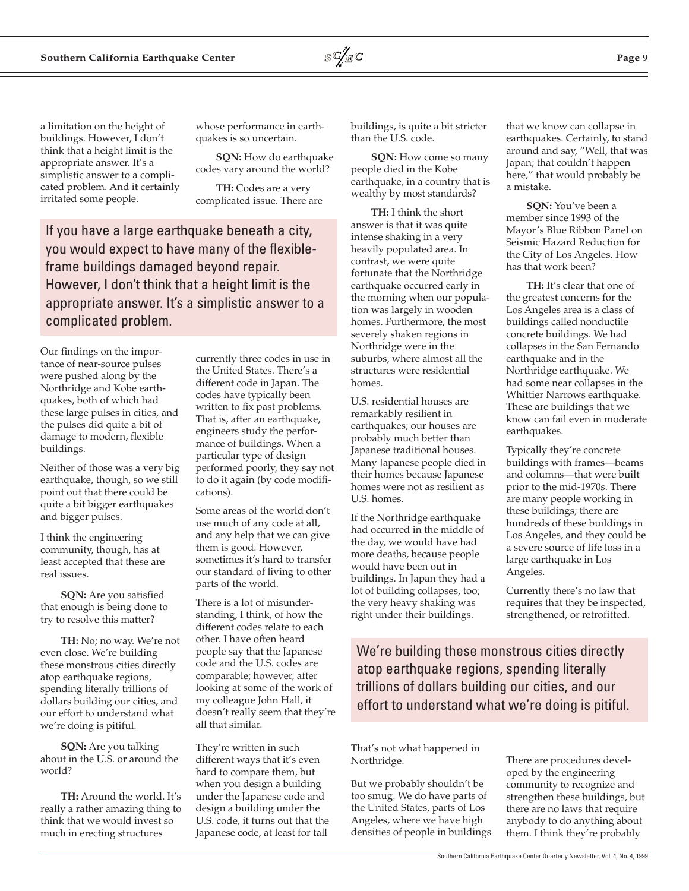

a limitation on the height of buildings. However, I don't think that a height limit is the appropriate answer. It's a simplistic answer to a complicated problem. And it certainly irritated some people.

whose performance in earthquakes is so uncertain.

**SON:** How do earthquake codes vary around the world?

**TH:** Codes are a very complicated issue. There are

If you have a large earthquake beneath a city, you would expect to have many of the flexibleframe buildings damaged beyond repair. However, I don't think that a height limit is the appropriate answer. It's a simplistic answer to a complicated problem.

Our findings on the importance of near-source pulses were pushed along by the Northridge and Kobe earthquakes, both of which had these large pulses in cities, and the pulses did quite a bit of damage to modern, flexible buildings.

Neither of those was a very big earthquake, though, so we still point out that there could be quite a bit bigger earthquakes and bigger pulses.

I think the engineering community, though, has at least accepted that these are real issues.

**SQN:** Are you satisfied that enough is being done to try to resolve this matter?

**TH:** No; no way. We're not even close. We're building these monstrous cities directly atop earthquake regions, spending literally trillions of dollars building our cities, and our effort to understand what we're doing is pitiful.

**SQN:** Are you talking about in the U.S. or around the world?

**TH:** Around the world. It's really a rather amazing thing to think that we would invest so much in erecting structures

currently three codes in use in the United States. There's a different code in Japan. The codes have typically been written to fix past problems. That is, after an earthquake, engineers study the performance of buildings. When a particular type of design performed poorly, they say not to do it again (by code modifications).

Some areas of the world don't use much of any code at all, and any help that we can give them is good. However, sometimes it's hard to transfer our standard of living to other parts of the world.

There is a lot of misunderstanding, I think, of how the different codes relate to each other. I have often heard people say that the Japanese code and the U.S. codes are comparable; however, after looking at some of the work of my colleague John Hall, it doesn't really seem that they're all that similar.

They're written in such different ways that it's even hard to compare them, but when you design a building under the Japanese code and design a building under the U.S. code, it turns out that the Japanese code, at least for tall

buildings, is quite a bit stricter than the U.S. code.

**SON:** How come so many people died in the Kobe earthquake, in a country that is wealthy by most standards?

**TH:** I think the short answer is that it was quite intense shaking in a very heavily populated area. In contrast, we were quite fortunate that the Northridge earthquake occurred early in the morning when our population was largely in wooden homes. Furthermore, the most severely shaken regions in Northridge were in the suburbs, where almost all the structures were residential homes.

U.S. residential houses are remarkably resilient in earthquakes; our houses are probably much better than Japanese traditional houses. Many Japanese people died in their homes because Japanese homes were not as resilient as U.S. homes.

If the Northridge earthquake had occurred in the middle of the day, we would have had more deaths, because people would have been out in buildings. In Japan they had a lot of building collapses, too; the very heavy shaking was right under their buildings.

that we know can collapse in earthquakes. Certainly, to stand around and say, "Well, that was Japan; that couldn't happen here," that would probably be a mistake.

**SQN:** You've been a member since 1993 of the Mayor's Blue Ribbon Panel on Seismic Hazard Reduction for the City of Los Angeles. How has that work been?

**TH:** It's clear that one of the greatest concerns for the Los Angeles area is a class of buildings called nonductile concrete buildings. We had collapses in the San Fernando earthquake and in the Northridge earthquake. We had some near collapses in the Whittier Narrows earthquake. These are buildings that we know can fail even in moderate earthquakes.

Typically they're concrete buildings with frames—beams and columns—that were built prior to the mid-1970s. There are many people working in these buildings; there are hundreds of these buildings in Los Angeles, and they could be a severe source of life loss in a large earthquake in Los Angeles.

Currently there's no law that requires that they be inspected, strengthened, or retrofitted.

We're building these monstrous cities directly atop earthquake regions, spending literally trillions of dollars building our cities, and our effort to understand what we're doing is pitiful.

That's not what happened in Northridge.

But we probably shouldn't be too smug. We do have parts of the United States, parts of Los Angeles, where we have high densities of people in buildings

There are procedures developed by the engineering community to recognize and strengthen these buildings, but there are no laws that require anybody to do anything about them. I think they're probably